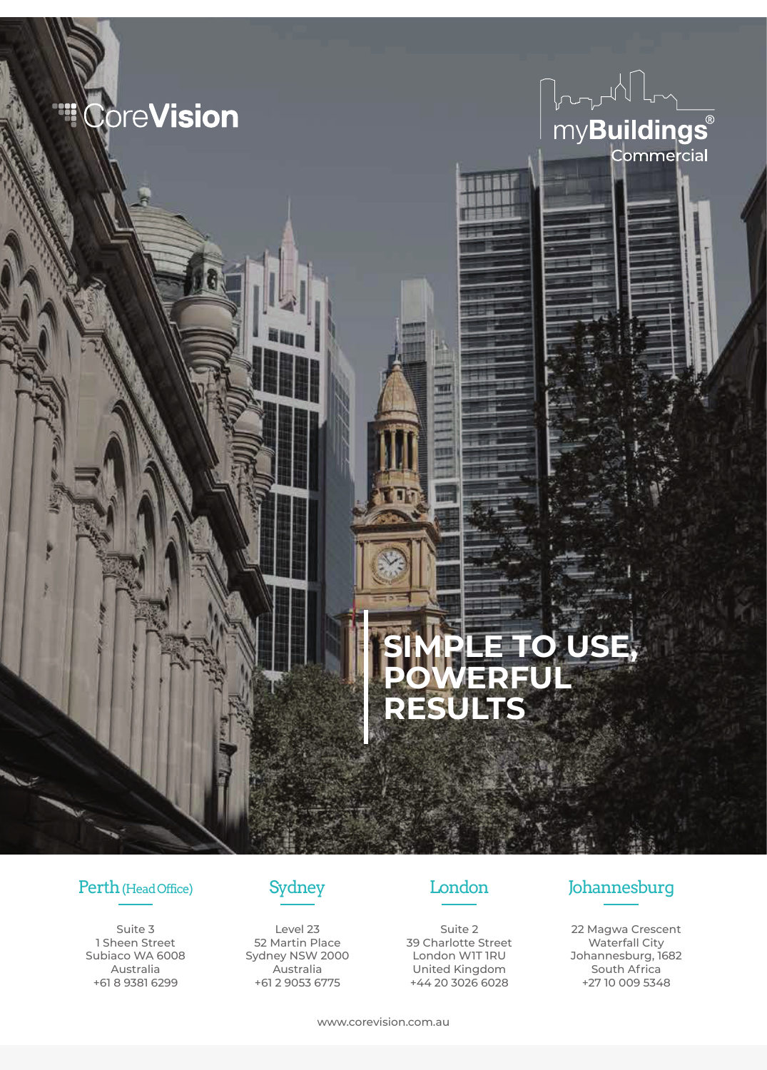



# **SIMPLE TO USE, POWERFUL RESULTS**

Suite 3 1 Sheen Street Subiaco WA 6008 Australia +61 8 9381 6299



Level 23 52 Martin Place Sydney NSW 2000 Australia +61 2 9053 6775



Suite 2 39 Charlotte Street London W1T 1RU United Kingdom +44 20 3026 6028

# Perth (Head Office) Sydney London Johannesburg

22 Magwa Crescent Waterfall City Johannesburg, 1682 South Africa +27 10 009 5348

www.corevision.com.au